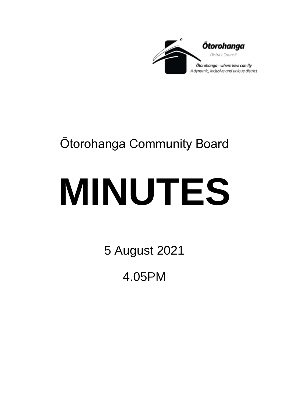

# Ōtorohanga Community Board

# **MINUTES**

5 August 2021

4.05PM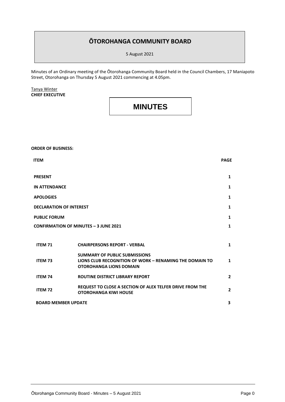### **ŌTOROHANGA COMMUNITY BOARD**

5 August 2021

Minutes of an Ordinary meeting of the Ōtorohanga Community Board held in the Council Chambers, 17 Maniapoto Street, Otorohanga on Thursday 5 August 2021 commencing at 4.05pm.

Tanya Winter **CHIEF EXECUTIVE**

**ORDER OF BUSINESS:**

## **MINUTES**

 **ITEM PAGE PRESENT 1 IN ATTENDANCE 1 APOLOGIES 1 DECLARATION OF INTEREST 1 PUBLIC FORUM CONFIRMATION OF MINUTES – 3 JUNE 2021 1 1 ITEM 71 CHAIRPERSONS REPORT - VERBAL 1 ITEM 73 SUMMARY OF PUBLIC SUBMISSIONS LIONS CLUB RECOGNITION OF WORK – RENAMING THE DOMAIN TO OTOROHANGA LIONS DOMAIN 1 ITEM 74 ROUTINE DISTRICT LIBRARY REPORT 2 ITEM 72 REQUEST TO CLOSE A SECTION OF ALEX TELFER DRIVE FROM THE OTOROHANGA KIWI HOUSE 2 BOARD MEMBER UPDATE** 3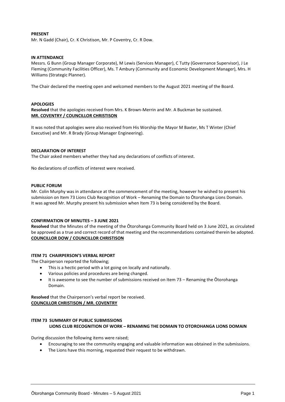#### **PRESENT**

Mr. N Gadd (Chair), Cr. K Christison, Mr. P Coventry, Cr. R Dow.

#### **IN ATTENDANCE**

Messrs. G Bunn (Group Manager Corporate), M Lewis (Services Manager), C Tutty (Governance Supervisor), J Le Fleming (Community Facilities Officer), Ms. T Ambury (Community and Economic Development Manager), Mrs. H Williams (Strategic Planner).

The Chair declared the meeting open and welcomed members to the August 2021 meeting of the Board.

#### **APOLOGIES**

**Resolved** that the apologies received from Mrs. K Brown-Merrin and Mr. A Buckman be sustained. **MR. COVENTRY / COUNCILLOR CHRISTISON**

It was noted that apologies were also received from His Worship the Mayor M Baxter, Ms T Winter (Chief Executive) and Mr. R Brady (Group Manager Engineering).

#### **DECLARATION OF INTEREST**

The Chair asked members whether they had any declarations of conflicts of interest.

No declarations of conflicts of interest were received.

#### **PUBLIC FORUM**

Mr. Colin Murphy was in attendance at the commencement of the meeting, however he wished to present his submission on Item 73 Lions Club Recognition of Work – Renaming the Domain to Ōtorohanga Lions Domain. It was agreed Mr. Murphy present his submission when Item 73 is being considered by the Board.

#### **CONFIRMATION OF MINUTES – 3 JUNE 2021**

**Resolved** that the Minutes of the meeting of the Ōtorohanga Community Board held on 3 June 2021, as circulated be approved as a true and correct record of that meeting and the recommendations contained therein be adopted. **COUNCILLOR DOW / COUNCILLOR CHRISTISON**

#### **ITEM 71 CHAIRPERSON'S VERBAL REPORT**

The Chairperson reported the following;

- This is a hectic period with a lot going on locally and nationally.
- Various policies and procedures are being changed.
- It is awesome to see the number of submissions received on Item 73 Renaming the Ōtorohanga Domain.

**Resolved** that the Chairperson's verbal report be received. **COUNCILLOR CHRISTISON / MR. COVENTRY**

#### **ITEM 73 SUMMARY OF PUBLIC SUBMISSIONS LIONS CLUB RECOGNITION OF WORK – RENAMING THE DOMAIN TO OTOROHANGA LIONS DOMAIN**

During discussion the following items were raised;

- Encouraging to see the community engaging and valuable information was obtained in the submissions.
- The Lions have this morning, requested their request to be withdrawn.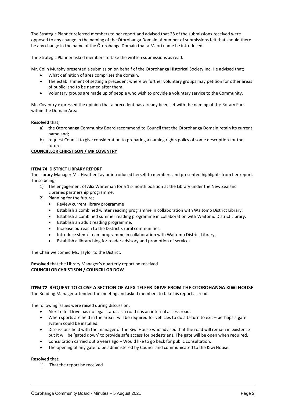The Strategic Planner referred members to her report and advised that 28 of the submissions received were opposed to any change in the naming of the Ōtorohanga Domain. A number of submissions felt that should there be any change in the name of the Ōtorohanga Domain that a Maori name be introduced.

The Strategic Planner asked members to take the written submissions as read.

Mr. Colin Murphy presented a submission on behalf of the Ōtorohanga Historical Society Inc. He advised that;

- What definition of area comprises the domain.
- The establishment of setting a precedent where by further voluntary groups may petition for other areas of public land to be named after them.
- Voluntary groups are made up of people who wish to provide a voluntary service to the Community.

Mr. Coventry expressed the opinion that a precedent has already been set with the naming of the Rotary Park within the Domain Area.

#### **Resolved** that;

- a) the Ōtorohanga Community Board recommend to Council that the Ōtorohanga Domain retain its current name and;
- b) request Council to give consideration to preparing a naming rights policy of some description for the future.

#### **COUNCIILLOR CHIRSTISON / MR COVENTRY**

#### **ITEM 74 DISTRICT LIBRARY REPORT**

The Library Manager Ms. Heather Taylor introduced herself to members and presented highlights from her report. These being;

- 1) The engagement of Alix Whiteman for a 12-month position at the Library under the New Zealand Libraries partnership programme.
- 2) Planning for the future;
	- Review current library programme
	- Establish a combined winter reading programme in collaboration with Waitomo District Library.
	- Establish a combined summer reading programme in collaboration with Waitomo District Library.
	- Establish an adult reading programme.
	- Increase outreach to the District's rural communities.
	- Introduce stem/steam programme in collaboration with Waitomo District Library.
	- Establish a library blog for reader advisory and promotion of services.

The Chair welcomed Ms. Taylor to the District.

**Resolved** that the Library Manager's quarterly report be received. **COUNCILLOR CHRISTISON / COUNCILLOR DOW**

#### **ITEM 72 REQUEST TO CLOSE A SECTION OF ALEX TELFER DRIVE FROM THE OTOROHANGA KIWI HOUSE**

The Roading Manager attended the meeting and asked members to take his report as read.

The following issues were raised during discussion;

- Alex Telfer Drive has no legal status as a road it is an internal access road.
- When sports are held in the area it will be required for vehicles to do a U-turn to exit perhaps a gate system could be installed.
- Discussions held with the manager of the Kiwi House who advised that the road will remain in existence but it will be 'gated down' to provide safe access for pedestrians. The gate will be open when required.
- Consultation carried out 6 years ago Would like to go back for public consultation.
- The opening of any gate to be administered by Council and communicated to the Kiwi House.

#### **Resolved** that;

1) That the report be received.